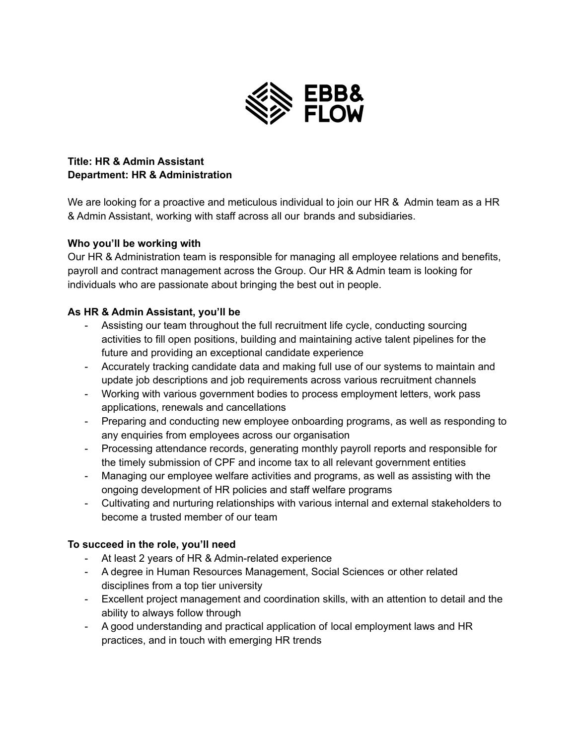

# **Title: HR & Admin Assistant Department: HR & Administration**

We are looking for a proactive and meticulous individual to join our HR & Admin team as a HR & Admin Assistant, working with staff across all our brands and subsidiaries.

## **Who you'll be working with**

Our HR & Administration team is responsible for managing all employee relations and benefits, payroll and contract management across the Group. Our HR & Admin team is looking for individuals who are passionate about bringing the best out in people.

## **As HR & Admin Assistant, you'll be**

- Assisting our team throughout the full recruitment life cycle, conducting sourcing activities to fill open positions, building and maintaining active talent pipelines for the future and providing an exceptional candidate experience
- Accurately tracking candidate data and making full use of our systems to maintain and update job descriptions and job requirements across various recruitment channels
- Working with various government bodies to process employment letters, work pass applications, renewals and cancellations
- Preparing and conducting new employee onboarding programs, as well as responding to any enquiries from employees across our organisation
- Processing attendance records, generating monthly payroll reports and responsible for the timely submission of CPF and income tax to all relevant government entities
- Managing our employee welfare activities and programs, as well as assisting with the ongoing development of HR policies and staff welfare programs
- Cultivating and nurturing relationships with various internal and external stakeholders to become a trusted member of our team

# **To succeed in the role, you'll need**

- At least 2 years of HR & Admin-related experience
- A degree in Human Resources Management, Social Sciences or other related disciplines from a top tier university
- Excellent project management and coordination skills, with an attention to detail and the ability to always follow through
- A good understanding and practical application of local employment laws and HR practices, and in touch with emerging HR trends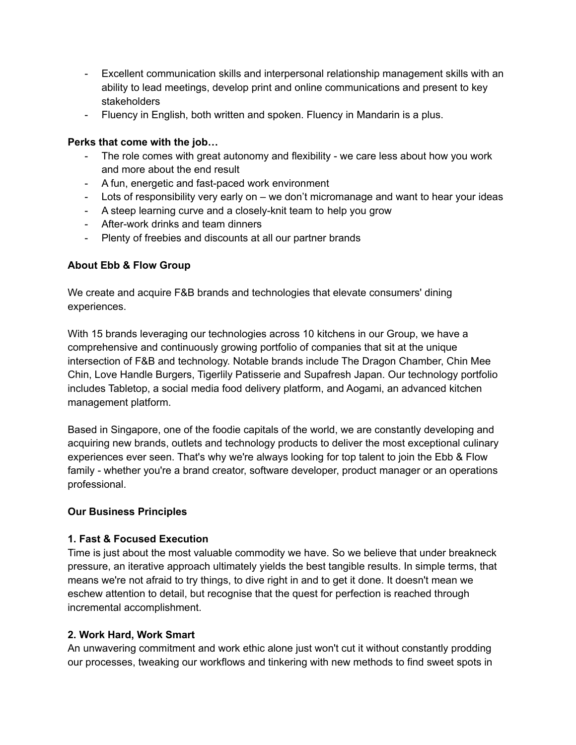- Excellent communication skills and interpersonal relationship management skills with an ability to lead meetings, develop print and online communications and present to key stakeholders
- Fluency in English, both written and spoken. Fluency in Mandarin is a plus.

## **Perks that come with the job…**

- The role comes with great autonomy and flexibility we care less about how you work and more about the end result
- A fun, energetic and fast-paced work environment
- Lots of responsibility very early on we don't micromanage and want to hear your ideas
- A steep learning curve and a closely-knit team to help you grow
- After-work drinks and team dinners
- Plenty of freebies and discounts at all our partner brands

#### **About Ebb & Flow Group**

We create and acquire F&B brands and technologies that elevate consumers' dining experiences.

With 15 brands leveraging our technologies across 10 kitchens in our Group, we have a comprehensive and continuously growing portfolio of companies that sit at the unique intersection of F&B and technology. Notable brands include The Dragon Chamber, Chin Mee Chin, Love Handle Burgers, Tigerlily Patisserie and Supafresh Japan. Our technology portfolio includes Tabletop, a social media food delivery platform, and Aogami, an advanced kitchen management platform.

Based in Singapore, one of the foodie capitals of the world, we are constantly developing and acquiring new brands, outlets and technology products to deliver the most exceptional culinary experiences ever seen. That's why we're always looking for top talent to join the Ebb & Flow family - whether you're a brand creator, software developer, product manager or an operations professional.

#### **Our Business Principles**

#### **1. Fast & Focused Execution**

Time is just about the most valuable commodity we have. So we believe that under breakneck pressure, an iterative approach ultimately yields the best tangible results. In simple terms, that means we're not afraid to try things, to dive right in and to get it done. It doesn't mean we eschew attention to detail, but recognise that the quest for perfection is reached through incremental accomplishment.

#### **2. Work Hard, Work Smart**

An unwavering commitment and work ethic alone just won't cut it without constantly prodding our processes, tweaking our workflows and tinkering with new methods to find sweet spots in